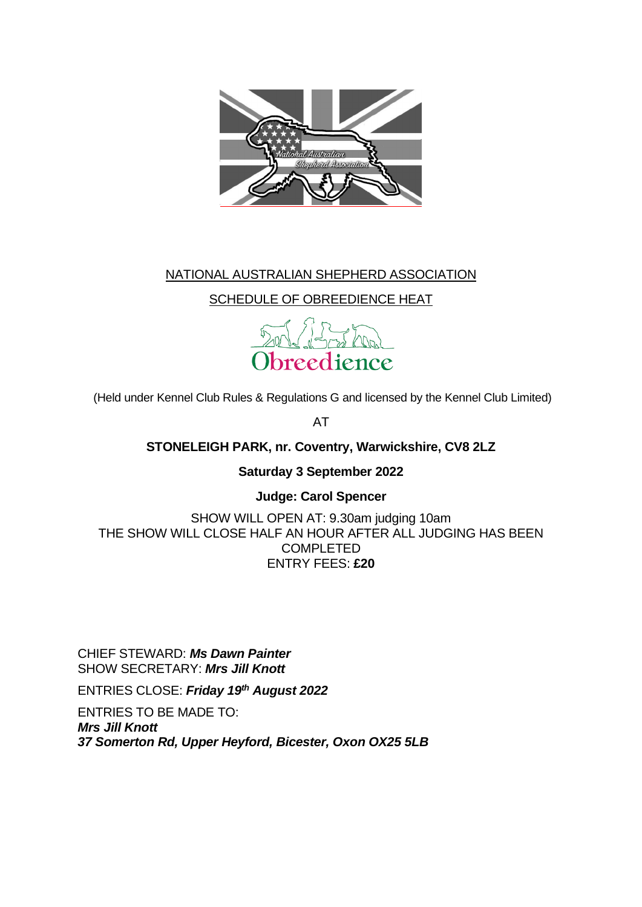

# NATIONAL AUSTRALIAN SHEPHERD ASSOCIATION

SCHEDULE OF OBREEDIENCE HEAT



(Held under Kennel Club Rules & Regulations G and licensed by the Kennel Club Limited)

AT

**STONELEIGH PARK, nr. Coventry, Warwickshire, CV8 2LZ**

**Saturday 3 September 2022**

**Judge: Carol Spencer**

SHOW WILL OPEN AT: 9.30am judging 10am THE SHOW WILL CLOSE HALF AN HOUR AFTER ALL JUDGING HAS BEEN COMPLETED ENTRY FEES: **£20**

CHIEF STEWARD: *Ms Dawn Painter* SHOW SECRETARY: *Mrs Jill Knott* 

ENTRIES CLOSE: *Friday 19 th August 2022*

ENTRIES TO BE MADE TO: *Mrs Jill Knott 37 Somerton Rd, Upper Heyford, Bicester, Oxon OX25 5LB*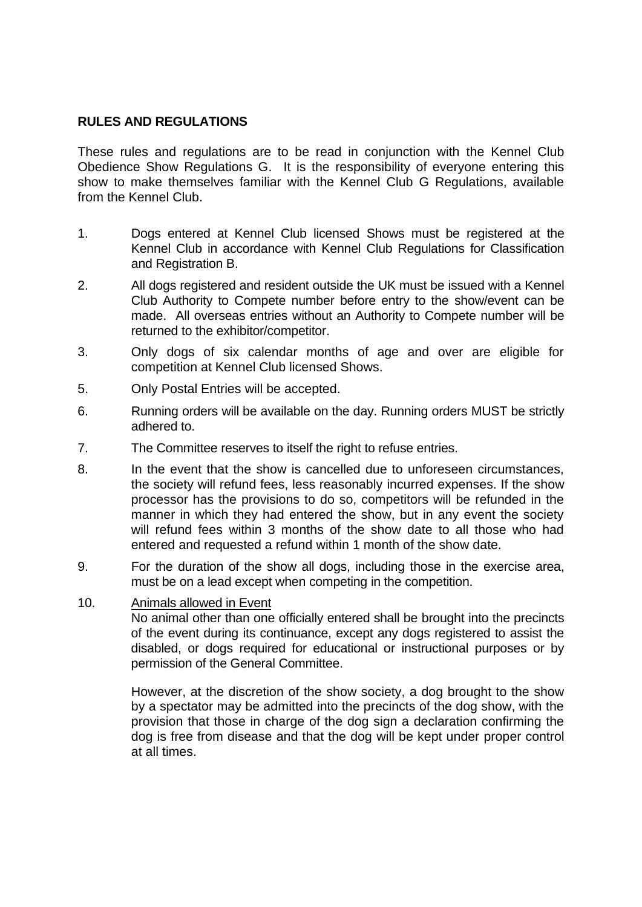### **RULES AND REGULATIONS**

These rules and regulations are to be read in conjunction with the Kennel Club Obedience Show Regulations G. It is the responsibility of everyone entering this show to make themselves familiar with the Kennel Club G Regulations, available from the Kennel Club.

- 1. Dogs entered at Kennel Club licensed Shows must be registered at the Kennel Club in accordance with Kennel Club Regulations for Classification and Registration B.
- 2. All dogs registered and resident outside the UK must be issued with a Kennel Club Authority to Compete number before entry to the show/event can be made. All overseas entries without an Authority to Compete number will be returned to the exhibitor/competitor.
- 3. Only dogs of six calendar months of age and over are eligible for competition at Kennel Club licensed Shows.
- 5. Only Postal Entries will be accepted.
- 6. Running orders will be available on the day. Running orders MUST be strictly adhered to.
- 7. The Committee reserves to itself the right to refuse entries.
- 8. In the event that the show is cancelled due to unforeseen circumstances, the society will refund fees, less reasonably incurred expenses. If the show processor has the provisions to do so, competitors will be refunded in the manner in which they had entered the show, but in any event the society will refund fees within 3 months of the show date to all those who had entered and requested a refund within 1 month of the show date.
- 9. For the duration of the show all dogs, including those in the exercise area, must be on a lead except when competing in the competition.
- 10. Animals allowed in Event

No animal other than one officially entered shall be brought into the precincts of the event during its continuance, except any dogs registered to assist the disabled, or dogs required for educational or instructional purposes or by permission of the General Committee.

However, at the discretion of the show society, a dog brought to the show by a spectator may be admitted into the precincts of the dog show, with the provision that those in charge of the dog sign a declaration confirming the dog is free from disease and that the dog will be kept under proper control at all times.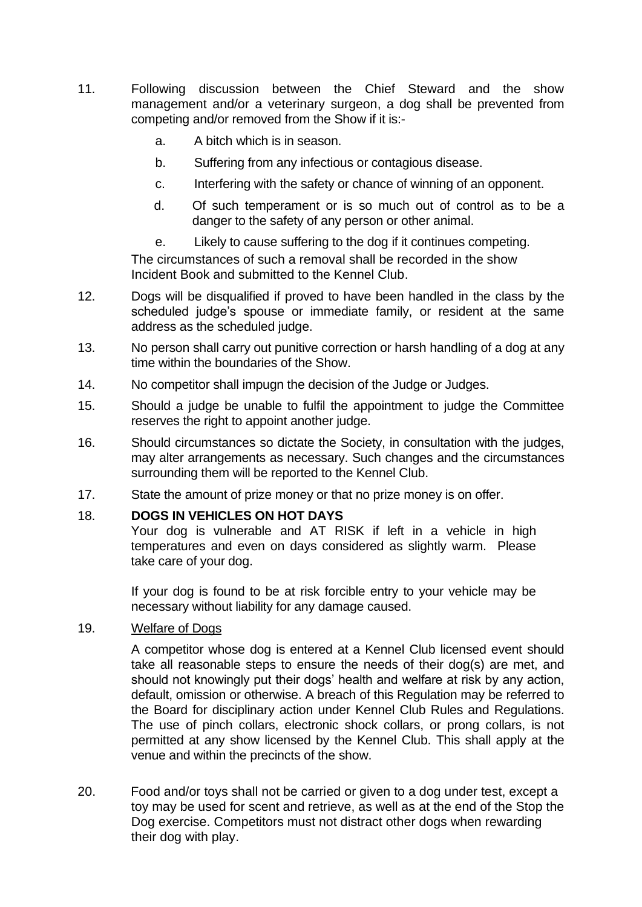- 11. Following discussion between the Chief Steward and the show management and/or a veterinary surgeon, a dog shall be prevented from competing and/or removed from the Show if it is:
	- a. A bitch which is in season.
	- b. Suffering from any infectious or contagious disease.
	- c. Interfering with the safety or chance of winning of an opponent.
	- d. Of such temperament or is so much out of control as to be a danger to the safety of any person or other animal.
	- e. Likely to cause suffering to the dog if it continues competing.

The circumstances of such a removal shall be recorded in the show Incident Book and submitted to the Kennel Club.

- 12. Dogs will be disqualified if proved to have been handled in the class by the scheduled judge's spouse or immediate family, or resident at the same address as the scheduled judge.
- 13. No person shall carry out punitive correction or harsh handling of a dog at any time within the boundaries of the Show.
- 14. No competitor shall impugn the decision of the Judge or Judges.
- 15. Should a judge be unable to fulfil the appointment to judge the Committee reserves the right to appoint another judge.
- 16. Should circumstances so dictate the Society, in consultation with the judges, may alter arrangements as necessary. Such changes and the circumstances surrounding them will be reported to the Kennel Club.
- 17. State the amount of prize money or that no prize money is on offer.

#### 18. **DOGS IN VEHICLES ON HOT DAYS**

Your dog is vulnerable and AT RISK if left in a vehicle in high temperatures and even on days considered as slightly warm. Please take care of your dog.

If your dog is found to be at risk forcible entry to your vehicle may be necessary without liability for any damage caused.

#### 19. Welfare of Dogs

A competitor whose dog is entered at a Kennel Club licensed event should take all reasonable steps to ensure the needs of their dog(s) are met, and should not knowingly put their dogs' health and welfare at risk by any action, default, omission or otherwise. A breach of this Regulation may be referred to the Board for disciplinary action under Kennel Club Rules and Regulations. The use of pinch collars, electronic shock collars, or prong collars, is not permitted at any show licensed by the Kennel Club. This shall apply at the venue and within the precincts of the show.

20. Food and/or toys shall not be carried or given to a dog under test, except a toy may be used for scent and retrieve, as well as at the end of the Stop the Dog exercise. Competitors must not distract other dogs when rewarding their dog with play.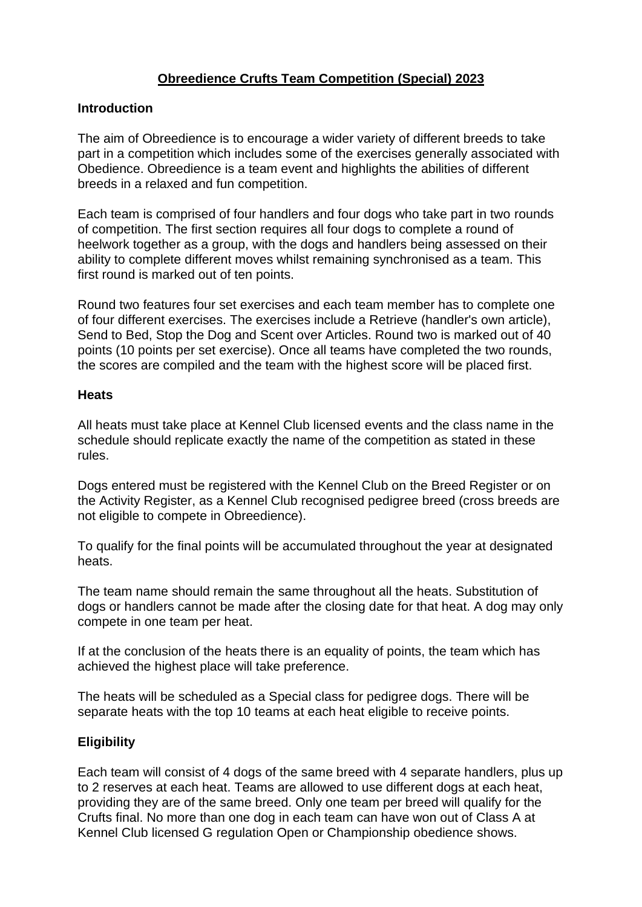## **Obreedience Crufts Team Competition (Special) 2023**

### **Introduction**

The aim of Obreedience is to encourage a wider variety of different breeds to take part in a competition which includes some of the exercises generally associated with Obedience. Obreedience is a team event and highlights the abilities of different breeds in a relaxed and fun competition.

Each team is comprised of four handlers and four dogs who take part in two rounds of competition. The first section requires all four dogs to complete a round of heelwork together as a group, with the dogs and handlers being assessed on their ability to complete different moves whilst remaining synchronised as a team. This first round is marked out of ten points.

Round two features four set exercises and each team member has to complete one of four different exercises. The exercises include a Retrieve (handler's own article), Send to Bed, Stop the Dog and Scent over Articles. Round two is marked out of 40 points (10 points per set exercise). Once all teams have completed the two rounds, the scores are compiled and the team with the highest score will be placed first.

#### **Heats**

All heats must take place at Kennel Club licensed events and the class name in the schedule should replicate exactly the name of the competition as stated in these rules.

Dogs entered must be registered with the Kennel Club on the Breed Register or on the Activity Register, as a Kennel Club recognised pedigree breed (cross breeds are not eligible to compete in Obreedience).

To qualify for the final points will be accumulated throughout the year at designated heats.

The team name should remain the same throughout all the heats. Substitution of dogs or handlers cannot be made after the closing date for that heat. A dog may only compete in one team per heat.

If at the conclusion of the heats there is an equality of points, the team which has achieved the highest place will take preference.

The heats will be scheduled as a Special class for pedigree dogs. There will be separate heats with the top 10 teams at each heat eligible to receive points.

## **Eligibility**

Each team will consist of 4 dogs of the same breed with 4 separate handlers, plus up to 2 reserves at each heat. Teams are allowed to use different dogs at each heat, providing they are of the same breed. Only one team per breed will qualify for the Crufts final. No more than one dog in each team can have won out of Class A at Kennel Club licensed G regulation Open or Championship obedience shows.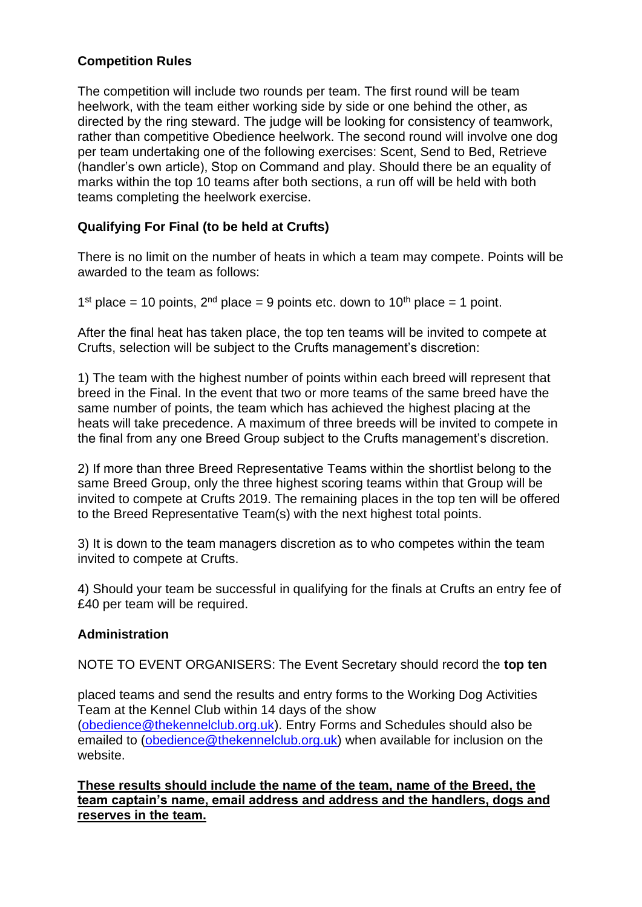## **Competition Rules**

The competition will include two rounds per team. The first round will be team heelwork, with the team either working side by side or one behind the other, as directed by the ring steward. The judge will be looking for consistency of teamwork, rather than competitive Obedience heelwork. The second round will involve one dog per team undertaking one of the following exercises: Scent, Send to Bed, Retrieve (handler's own article), Stop on Command and play. Should there be an equality of marks within the top 10 teams after both sections, a run off will be held with both teams completing the heelwork exercise.

## **Qualifying For Final (to be held at Crufts)**

There is no limit on the number of heats in which a team may compete. Points will be awarded to the team as follows:

1<sup>st</sup> place = 10 points, 2<sup>nd</sup> place = 9 points etc. down to 10<sup>th</sup> place = 1 point.

After the final heat has taken place, the top ten teams will be invited to compete at Crufts, selection will be subject to the Crufts management's discretion:

1) The team with the highest number of points within each breed will represent that breed in the Final. In the event that two or more teams of the same breed have the same number of points, the team which has achieved the highest placing at the heats will take precedence. A maximum of three breeds will be invited to compete in the final from any one Breed Group subject to the Crufts management's discretion.

2) If more than three Breed Representative Teams within the shortlist belong to the same Breed Group, only the three highest scoring teams within that Group will be invited to compete at Crufts 2019. The remaining places in the top ten will be offered to the Breed Representative Team(s) with the next highest total points.

3) It is down to the team managers discretion as to who competes within the team invited to compete at Crufts.

4) Should your team be successful in qualifying for the finals at Crufts an entry fee of £40 per team will be required.

## **Administration**

NOTE TO EVENT ORGANISERS: The Event Secretary should record the **top ten**

placed teams and send the results and entry forms to the Working Dog Activities Team at the Kennel Club within 14 days of the show [\(obedience@thekennelclub.org.uk\)](mailto:obedience@thekennelclub.org.uk). Entry Forms and Schedules should also be emailed to [\(obedience@thekennelclub.org.uk\)](mailto:obedience@thekennelclub.org.uk) when available for inclusion on the website.

**These results should include the name of the team, name of the Breed, the team captain's name, email address and address and the handlers, dogs and reserves in the team.**